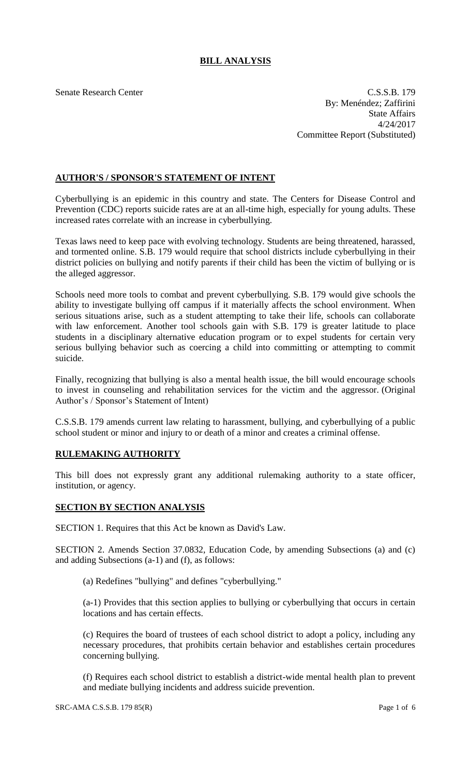# **BILL ANALYSIS**

Senate Research Center C.S.S.B. 179 By: Menéndez; Zaffirini State Affairs 4/24/2017 Committee Report (Substituted)

## **AUTHOR'S / SPONSOR'S STATEMENT OF INTENT**

Cyberbullying is an epidemic in this country and state. The Centers for Disease Control and Prevention (CDC) reports suicide rates are at an all-time high, especially for young adults. These increased rates correlate with an increase in cyberbullying.

Texas laws need to keep pace with evolving technology. Students are being threatened, harassed, and tormented online. S.B. 179 would require that school districts include cyberbullying in their district policies on bullying and notify parents if their child has been the victim of bullying or is the alleged aggressor.

Schools need more tools to combat and prevent cyberbullying. S.B. 179 would give schools the ability to investigate bullying off campus if it materially affects the school environment. When serious situations arise, such as a student attempting to take their life, schools can collaborate with law enforcement. Another tool schools gain with S.B. 179 is greater latitude to place students in a disciplinary alternative education program or to expel students for certain very serious bullying behavior such as coercing a child into committing or attempting to commit suicide.

Finally, recognizing that bullying is also a mental health issue, the bill would encourage schools to invest in counseling and rehabilitation services for the victim and the aggressor. (Original Author's / Sponsor's Statement of Intent)

C.S.S.B. 179 amends current law relating to harassment, bullying, and cyberbullying of a public school student or minor and injury to or death of a minor and creates a criminal offense.

### **RULEMAKING AUTHORITY**

This bill does not expressly grant any additional rulemaking authority to a state officer, institution, or agency.

### **SECTION BY SECTION ANALYSIS**

SECTION 1. Requires that this Act be known as David's Law.

SECTION 2. Amends Section 37.0832, Education Code, by amending Subsections (a) and (c) and adding Subsections (a-1) and (f), as follows:

(a) Redefines "bullying" and defines "cyberbullying."

(a-1) Provides that this section applies to bullying or cyberbullying that occurs in certain locations and has certain effects.

(c) Requires the board of trustees of each school district to adopt a policy, including any necessary procedures, that prohibits certain behavior and establishes certain procedures concerning bullying.

(f) Requires each school district to establish a district-wide mental health plan to prevent and mediate bullying incidents and address suicide prevention.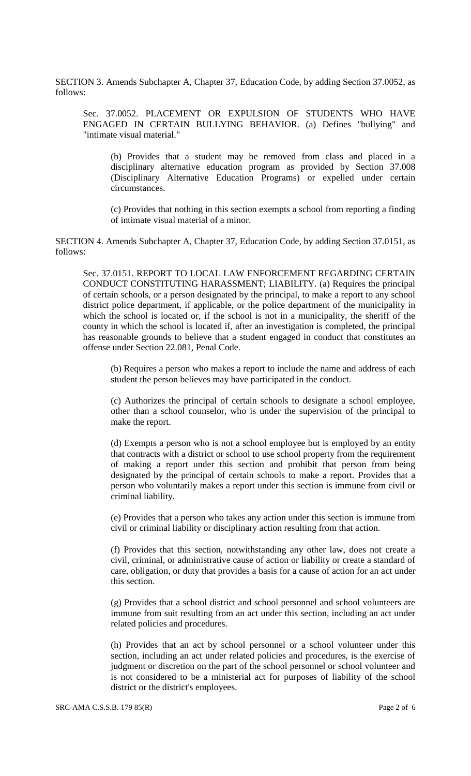SECTION 3. Amends Subchapter A, Chapter 37, Education Code, by adding Section 37.0052, as follows:

Sec. 37.0052. PLACEMENT OR EXPULSION OF STUDENTS WHO HAVE ENGAGED IN CERTAIN BULLYING BEHAVIOR. (a) Defines "bullying" and "intimate visual material."

(b) Provides that a student may be removed from class and placed in a disciplinary alternative education program as provided by Section 37.008 (Disciplinary Alternative Education Programs) or expelled under certain circumstances.

(c) Provides that nothing in this section exempts a school from reporting a finding of intimate visual material of a minor.

SECTION 4. Amends Subchapter A, Chapter 37, Education Code, by adding Section 37.0151, as follows:

Sec. 37.0151. REPORT TO LOCAL LAW ENFORCEMENT REGARDING CERTAIN CONDUCT CONSTITUTING HARASSMENT; LIABILITY. (a) Requires the principal of certain schools, or a person designated by the principal, to make a report to any school district police department, if applicable, or the police department of the municipality in which the school is located or, if the school is not in a municipality, the sheriff of the county in which the school is located if, after an investigation is completed, the principal has reasonable grounds to believe that a student engaged in conduct that constitutes an offense under Section 22.081, Penal Code.

(b) Requires a person who makes a report to include the name and address of each student the person believes may have participated in the conduct.

(c) Authorizes the principal of certain schools to designate a school employee, other than a school counselor, who is under the supervision of the principal to make the report.

(d) Exempts a person who is not a school employee but is employed by an entity that contracts with a district or school to use school property from the requirement of making a report under this section and prohibit that person from being designated by the principal of certain schools to make a report. Provides that a person who voluntarily makes a report under this section is immune from civil or criminal liability.

(e) Provides that a person who takes any action under this section is immune from civil or criminal liability or disciplinary action resulting from that action.

(f) Provides that this section, notwithstanding any other law, does not create a civil, criminal, or administrative cause of action or liability or create a standard of care, obligation, or duty that provides a basis for a cause of action for an act under this section.

(g) Provides that a school district and school personnel and school volunteers are immune from suit resulting from an act under this section, including an act under related policies and procedures.

(h) Provides that an act by school personnel or a school volunteer under this section, including an act under related policies and procedures, is the exercise of judgment or discretion on the part of the school personnel or school volunteer and is not considered to be a ministerial act for purposes of liability of the school district or the district's employees.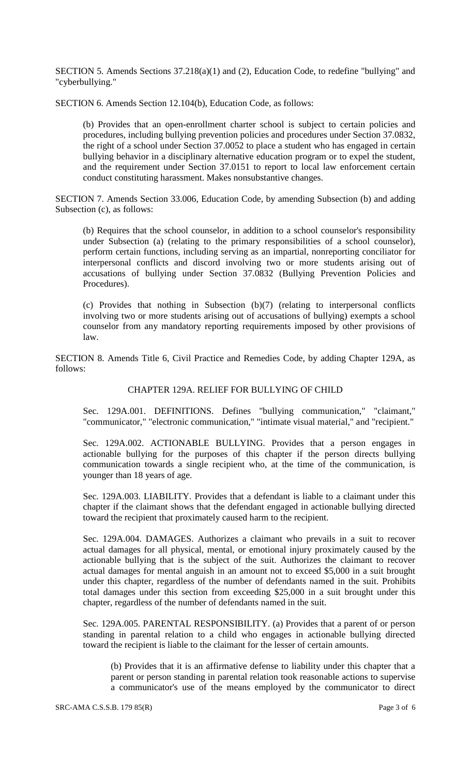SECTION 5. Amends Sections 37.218(a)(1) and (2), Education Code, to redefine "bullying" and "cyberbullying."

SECTION 6. Amends Section 12.104(b), Education Code, as follows:

(b) Provides that an open-enrollment charter school is subject to certain policies and procedures, including bullying prevention policies and procedures under Section 37.0832, the right of a school under Section 37.0052 to place a student who has engaged in certain bullying behavior in a disciplinary alternative education program or to expel the student, and the requirement under Section 37.0151 to report to local law enforcement certain conduct constituting harassment. Makes nonsubstantive changes.

SECTION 7. Amends Section 33.006, Education Code, by amending Subsection (b) and adding Subsection (c), as follows:

(b) Requires that the school counselor, in addition to a school counselor's responsibility under Subsection (a) (relating to the primary responsibilities of a school counselor), perform certain functions, including serving as an impartial, nonreporting conciliator for interpersonal conflicts and discord involving two or more students arising out of accusations of bullying under Section 37.0832 (Bullying Prevention Policies and Procedures).

(c) Provides that nothing in Subsection (b)(7) (relating to interpersonal conflicts involving two or more students arising out of accusations of bullying) exempts a school counselor from any mandatory reporting requirements imposed by other provisions of law.

SECTION 8. Amends Title 6, Civil Practice and Remedies Code, by adding Chapter 129A, as follows:

#### CHAPTER 129A. RELIEF FOR BULLYING OF CHILD

Sec. 129A.001. DEFINITIONS. Defines "bullying communication," "claimant," "communicator," "electronic communication," "intimate visual material," and "recipient."

Sec. 129A.002. ACTIONABLE BULLYING. Provides that a person engages in actionable bullying for the purposes of this chapter if the person directs bullying communication towards a single recipient who, at the time of the communication, is younger than 18 years of age.

Sec. 129A.003. LIABILITY. Provides that a defendant is liable to a claimant under this chapter if the claimant shows that the defendant engaged in actionable bullying directed toward the recipient that proximately caused harm to the recipient.

Sec. 129A.004. DAMAGES. Authorizes a claimant who prevails in a suit to recover actual damages for all physical, mental, or emotional injury proximately caused by the actionable bullying that is the subject of the suit. Authorizes the claimant to recover actual damages for mental anguish in an amount not to exceed \$5,000 in a suit brought under this chapter, regardless of the number of defendants named in the suit. Prohibits total damages under this section from exceeding \$25,000 in a suit brought under this chapter, regardless of the number of defendants named in the suit.

Sec. 129A.005. PARENTAL RESPONSIBILITY. (a) Provides that a parent of or person standing in parental relation to a child who engages in actionable bullying directed toward the recipient is liable to the claimant for the lesser of certain amounts.

(b) Provides that it is an affirmative defense to liability under this chapter that a parent or person standing in parental relation took reasonable actions to supervise a communicator's use of the means employed by the communicator to direct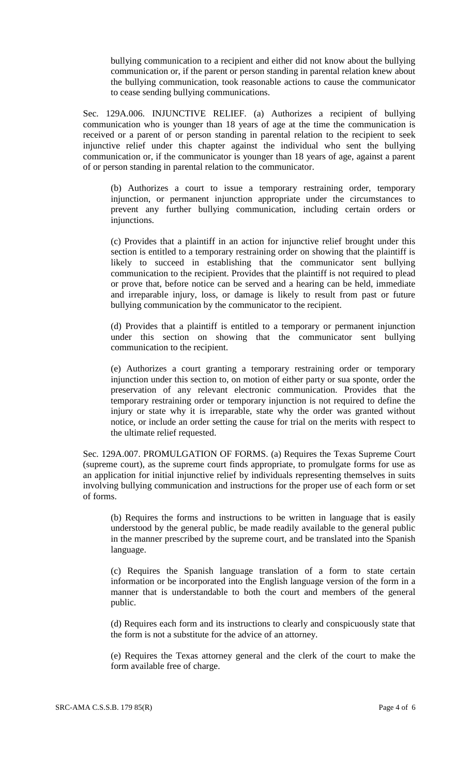bullying communication to a recipient and either did not know about the bullying communication or, if the parent or person standing in parental relation knew about the bullying communication, took reasonable actions to cause the communicator to cease sending bullying communications.

Sec. 129A.006. INJUNCTIVE RELIEF. (a) Authorizes a recipient of bullying communication who is younger than 18 years of age at the time the communication is received or a parent of or person standing in parental relation to the recipient to seek injunctive relief under this chapter against the individual who sent the bullying communication or, if the communicator is younger than 18 years of age, against a parent of or person standing in parental relation to the communicator.

(b) Authorizes a court to issue a temporary restraining order, temporary injunction, or permanent injunction appropriate under the circumstances to prevent any further bullying communication, including certain orders or injunctions.

(c) Provides that a plaintiff in an action for injunctive relief brought under this section is entitled to a temporary restraining order on showing that the plaintiff is likely to succeed in establishing that the communicator sent bullying communication to the recipient. Provides that the plaintiff is not required to plead or prove that, before notice can be served and a hearing can be held, immediate and irreparable injury, loss, or damage is likely to result from past or future bullying communication by the communicator to the recipient.

(d) Provides that a plaintiff is entitled to a temporary or permanent injunction under this section on showing that the communicator sent bullying communication to the recipient.

(e) Authorizes a court granting a temporary restraining order or temporary injunction under this section to, on motion of either party or sua sponte, order the preservation of any relevant electronic communication. Provides that the temporary restraining order or temporary injunction is not required to define the injury or state why it is irreparable, state why the order was granted without notice, or include an order setting the cause for trial on the merits with respect to the ultimate relief requested.

Sec. 129A.007. PROMULGATION OF FORMS. (a) Requires the Texas Supreme Court (supreme court), as the supreme court finds appropriate, to promulgate forms for use as an application for initial injunctive relief by individuals representing themselves in suits involving bullying communication and instructions for the proper use of each form or set of forms.

(b) Requires the forms and instructions to be written in language that is easily understood by the general public, be made readily available to the general public in the manner prescribed by the supreme court, and be translated into the Spanish language.

(c) Requires the Spanish language translation of a form to state certain information or be incorporated into the English language version of the form in a manner that is understandable to both the court and members of the general public.

(d) Requires each form and its instructions to clearly and conspicuously state that the form is not a substitute for the advice of an attorney.

(e) Requires the Texas attorney general and the clerk of the court to make the form available free of charge.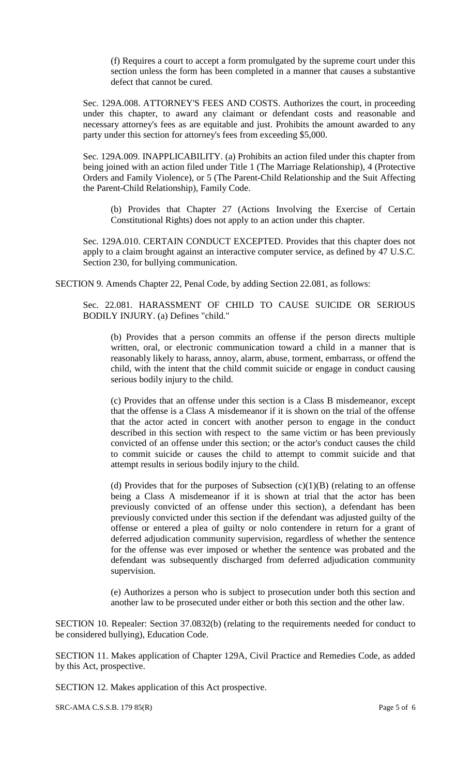(f) Requires a court to accept a form promulgated by the supreme court under this section unless the form has been completed in a manner that causes a substantive defect that cannot be cured.

Sec. 129A.008. ATTORNEY'S FEES AND COSTS. Authorizes the court, in proceeding under this chapter, to award any claimant or defendant costs and reasonable and necessary attorney's fees as are equitable and just. Prohibits the amount awarded to any party under this section for attorney's fees from exceeding \$5,000.

Sec. 129A.009. INAPPLICABILITY. (a) Prohibits an action filed under this chapter from being joined with an action filed under Title 1 (The Marriage Relationship), 4 (Protective Orders and Family Violence), or 5 (The Parent-Child Relationship and the Suit Affecting the Parent-Child Relationship), Family Code.

(b) Provides that Chapter 27 (Actions Involving the Exercise of Certain Constitutional Rights) does not apply to an action under this chapter.

Sec. 129A.010. CERTAIN CONDUCT EXCEPTED. Provides that this chapter does not apply to a claim brought against an interactive computer service, as defined by 47 U.S.C. Section 230, for bullying communication.

SECTION 9. Amends Chapter 22, Penal Code, by adding Section 22.081, as follows:

Sec. 22.081. HARASSMENT OF CHILD TO CAUSE SUICIDE OR SERIOUS BODILY INJURY. (a) Defines "child."

(b) Provides that a person commits an offense if the person directs multiple written, oral, or electronic communication toward a child in a manner that is reasonably likely to harass, annoy, alarm, abuse, torment, embarrass, or offend the child, with the intent that the child commit suicide or engage in conduct causing serious bodily injury to the child.

(c) Provides that an offense under this section is a Class B misdemeanor, except that the offense is a Class A misdemeanor if it is shown on the trial of the offense that the actor acted in concert with another person to engage in the conduct described in this section with respect to the same victim or has been previously convicted of an offense under this section; or the actor's conduct causes the child to commit suicide or causes the child to attempt to commit suicide and that attempt results in serious bodily injury to the child.

(d) Provides that for the purposes of Subsection  $(c)(1)(B)$  (relating to an offense being a Class A misdemeanor if it is shown at trial that the actor has been previously convicted of an offense under this section), a defendant has been previously convicted under this section if the defendant was adjusted guilty of the offense or entered a plea of guilty or nolo contendere in return for a grant of deferred adjudication community supervision, regardless of whether the sentence for the offense was ever imposed or whether the sentence was probated and the defendant was subsequently discharged from deferred adjudication community supervision.

(e) Authorizes a person who is subject to prosecution under both this section and another law to be prosecuted under either or both this section and the other law.

SECTION 10. Repealer: Section 37.0832(b) (relating to the requirements needed for conduct to be considered bullying), Education Code.

SECTION 11. Makes application of Chapter 129A, Civil Practice and Remedies Code, as added by this Act, prospective.

SECTION 12. Makes application of this Act prospective.

 $SRC-AMA C.S.S.B. 179 85(R)$  Page 5 of 6